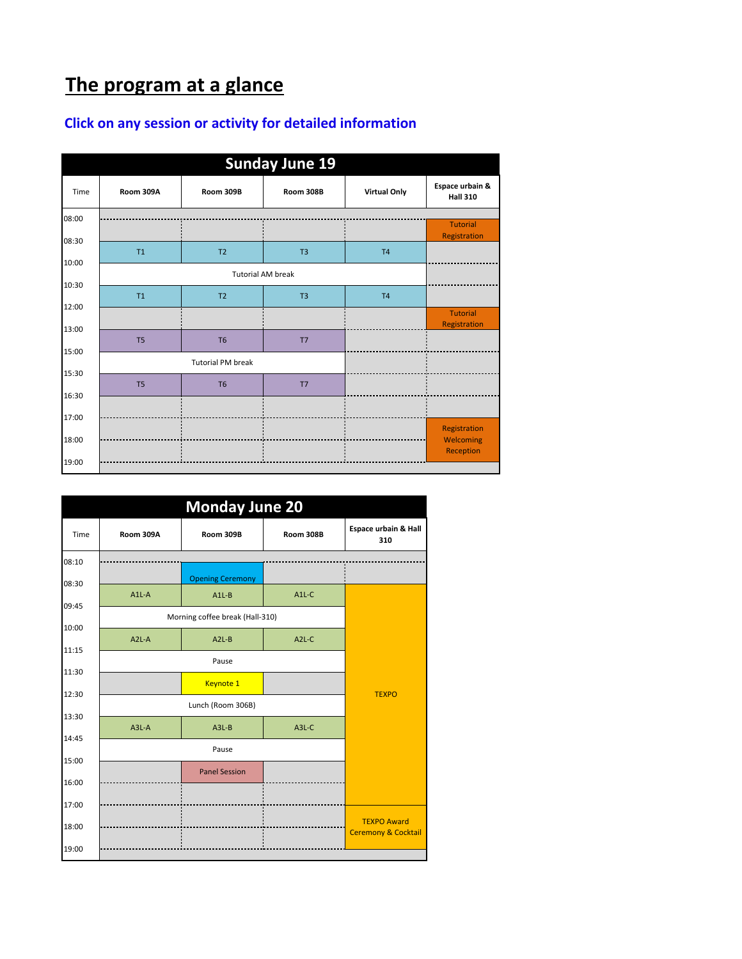## **The program at a glance**

## **Click on any session or activity for detailed information**

| <b>Sunday June 19</b> |                          |                |                |                     |                                    |
|-----------------------|--------------------------|----------------|----------------|---------------------|------------------------------------|
| Time                  | Room 309A                | Room 309B      | Room 308B      | <b>Virtual Only</b> | Espace urbain &<br><b>Hall 310</b> |
| 08:00                 |                          |                |                |                     |                                    |
| 08:30                 |                          |                |                |                     | <b>Tutorial</b><br>Registration    |
|                       | T1                       | T <sub>2</sub> | T <sub>3</sub> | T <sub>4</sub>      |                                    |
| 10:00                 | <b>Tutorial AM break</b> |                |                |                     |                                    |
| 10:30                 |                          |                |                |                     |                                    |
| 12:00                 | T1                       | T <sub>2</sub> | T <sub>3</sub> | T4                  |                                    |
|                       |                          |                |                |                     | <b>Tutorial</b><br>Registration    |
| 13:00                 | T <sub>5</sub>           | T <sub>6</sub> | T <sub>7</sub> |                     |                                    |
| 15:00                 |                          |                |                |                     |                                    |
| 15:30                 | <b>Tutorial PM break</b> |                |                |                     |                                    |
| 16:30                 | T <sub>5</sub>           | T <sub>6</sub> | T <sub>7</sub> |                     |                                    |
|                       |                          |                |                |                     |                                    |
| 17:00                 |                          |                |                |                     | Registration                       |
| 18:00                 |                          |                |                |                     | Welcoming                          |
| 19:00                 |                          |                |                |                     | Reception                          |
|                       |                          |                |                |                     |                                    |

| <b>Monday June 20</b> |                                 |                         |                    |                                |
|-----------------------|---------------------------------|-------------------------|--------------------|--------------------------------|
| Time                  | Room 309A                       | Room 309B               | <b>Room 308B</b>   | Espace urbain & Hall<br>310    |
| 08:10                 |                                 |                         |                    |                                |
| 08:30                 |                                 | <b>Opening Ceremony</b> |                    |                                |
| 09:45                 | $A1L-A$                         | $A1L-B$                 | A <sub>1</sub> L-C |                                |
|                       | Morning coffee break (Hall-310) |                         |                    |                                |
| 10:00                 | $A2L-A$                         | $A2L-B$                 | A <sub>2L</sub> -C |                                |
| 11:15                 |                                 | Pause                   |                    |                                |
| 11:30                 |                                 |                         |                    |                                |
| 12:30                 |                                 | <b>Keynote 1</b>        |                    | <b>TEXPO</b>                   |
| 13:30                 |                                 | Lunch (Room 306B)       |                    |                                |
|                       | $A3L-A$                         | $A3L-B$                 | A3L-C              |                                |
| 14:45                 | Pause                           |                         |                    |                                |
| 15:00                 |                                 | <b>Panel Session</b>    |                    |                                |
| 16:00                 |                                 |                         |                    |                                |
| 17:00                 |                                 |                         |                    |                                |
| 18:00                 |                                 |                         |                    | <b>TEXPO Award</b>             |
| 19:00                 |                                 |                         |                    | <b>Ceremony &amp; Cocktail</b> |
|                       |                                 |                         |                    |                                |